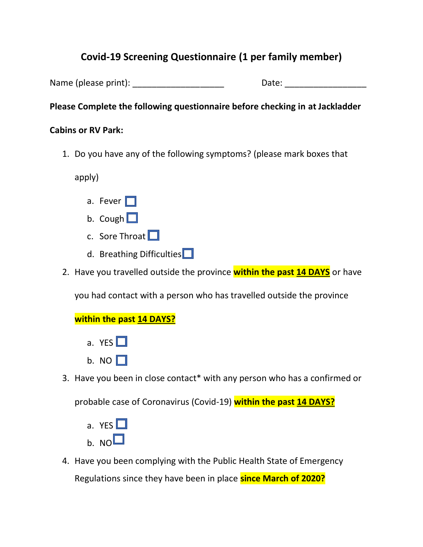## **Covid-19 Screening Questionnaire (1 per family member)**

Name (please print): The same of the Date:  $\Box$  Date:

## **Please Complete the following questionnaire before checking in at Jackladder**

## **Cabins or RV Park:**

1. Do you have any of the following symptoms? (please mark boxes that

apply)

- a. Fever  $\Box$
- b. Cough  $\Box$
- c. Sore Throat  $\Box$
- d. Breathing Difficulties $\Box$
- 2. Have you travelled outside the province **within the past 14 DAYS** or have

you had contact with a person who has travelled outside the province

## **within the past 14 DAYS?**

- a. YES  $\Box$
- b. NO  $\Box$
- 3. Have you been in close contact\* with any person who has a confirmed or

probable case of Coronavirus (Covid-19) **within the past 14 DAYS?**

- a. YES  $\Box$  $h$  NO $\Box$
- 4. Have you been complying with the Public Health State of Emergency Regulations since they have been in place **since March of 2020?**